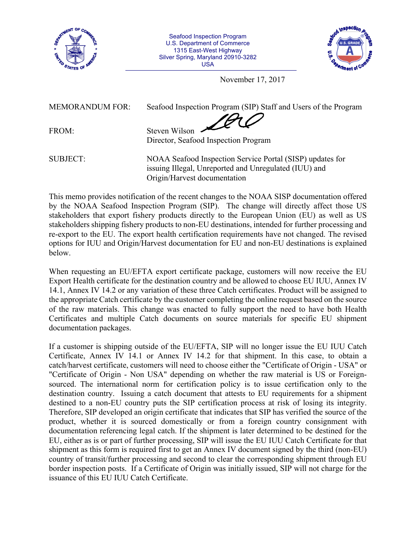

Seafood Inspection Program U.S. Department of Commerce 1315 East-West Highway Silver Spring, Maryland 20910-3282 USA



November 17, 2017

MEMORANDUM FOR: Seafood Inspection Program (SIP) Staff and Users of the Program

FROM: Steven Wilson

Director, Seafood Inspection Program

SUBJECT: NOAA Seafood Inspection Service Portal (SISP) updates for issuing Illegal, Unreported and Unregulated (IUU) and Origin/Harvest documentation

This memo provides notification of the recent changes to the NOAA SISP documentation offered by the NOAA Seafood Inspection Program (SIP). The change will directly affect those US stakeholders that export fishery products directly to the European Union (EU) as well as US stakeholders shipping fishery products to non-EU destinations, intended for further processing and re-export to the EU. The export health certification requirements have not changed. The revised options for IUU and Origin/Harvest documentation for EU and non-EU destinations is explained below.

When requesting an EU/EFTA export certificate package, customers will now receive the EU Export Health certificate for the destination country and be allowed to choose EU IUU, Annex IV 14.1, Annex IV 14.2 or any variation of these three Catch certificates. Product will be assigned to the appropriate Catch certificate by the customer completing the online request based on the source of the raw materials. This change was enacted to fully support the need to have both Health Certificates and multiple Catch documents on source materials for specific EU shipment documentation packages.

If a customer is shipping outside of the EU/EFTA, SIP will no longer issue the EU IUU Catch Certificate, Annex IV 14.1 or Annex IV 14.2 for that shipment. In this case, to obtain a catch/harvest certificate, customers will need to choose either the "Certificate of Origin - USA" or "Certificate of Origin - Non USA" depending on whether the raw material is US or Foreignsourced. The international norm for certification policy is to issue certification only to the destination country. Issuing a catch document that attests to EU requirements for a shipment destined to a non-EU country puts the SIP certification process at risk of losing its integrity. Therefore, SIP developed an origin certificate that indicates that SIP has verified the source of the product, whether it is sourced domestically or from a foreign country consignment with documentation referencing legal catch. If the shipment is later determined to be destined for the EU, either as is or part of further processing, SIP will issue the EU IUU Catch Certificate for that shipment as this form is required first to get an Annex IV document signed by the third (non-EU) country of transit/further processing and second to clear the corresponding shipment through EU border inspection posts. If a Certificate of Origin was initially issued, SIP will not charge for the issuance of this EU IUU Catch Certificate.